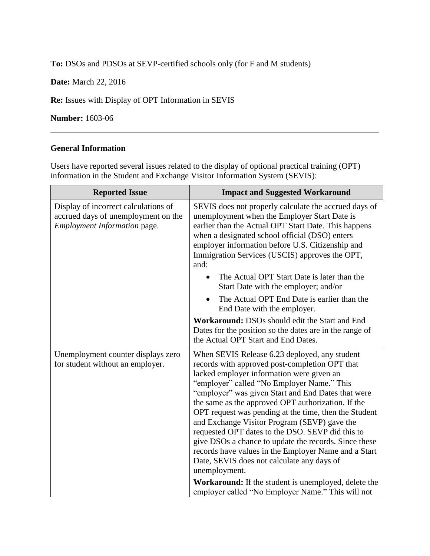**To:** DSOs and PDSOs at SEVP-certified schools only (for F and M students)

**Date:** March 22, 2016

**Re:** Issues with Display of OPT Information in SEVIS

**Number:** 1603-06

## **General Information**

Users have reported several issues related to the display of optional practical training (OPT) information in the Student and Exchange Visitor Information System (SEVIS):

| <b>Reported Issue</b>                                                                                       | <b>Impact and Suggested Workaround</b>                                                                                                                                                                                                                                                                                                                                                                                                                                                                                                                                                                                                              |
|-------------------------------------------------------------------------------------------------------------|-----------------------------------------------------------------------------------------------------------------------------------------------------------------------------------------------------------------------------------------------------------------------------------------------------------------------------------------------------------------------------------------------------------------------------------------------------------------------------------------------------------------------------------------------------------------------------------------------------------------------------------------------------|
| Display of incorrect calculations of<br>accrued days of unemployment on the<br>Employment Information page. | SEVIS does not properly calculate the accrued days of<br>unemployment when the Employer Start Date is<br>earlier than the Actual OPT Start Date. This happens<br>when a designated school official (DSO) enters<br>employer information before U.S. Citizenship and<br>Immigration Services (USCIS) approves the OPT,<br>and:                                                                                                                                                                                                                                                                                                                       |
|                                                                                                             | The Actual OPT Start Date is later than the<br>$\bullet$<br>Start Date with the employer; and/or                                                                                                                                                                                                                                                                                                                                                                                                                                                                                                                                                    |
|                                                                                                             | The Actual OPT End Date is earlier than the<br>End Date with the employer.                                                                                                                                                                                                                                                                                                                                                                                                                                                                                                                                                                          |
|                                                                                                             | Workaround: DSOs should edit the Start and End<br>Dates for the position so the dates are in the range of<br>the Actual OPT Start and End Dates.                                                                                                                                                                                                                                                                                                                                                                                                                                                                                                    |
| Unemployment counter displays zero<br>for student without an employer.                                      | When SEVIS Release 6.23 deployed, any student<br>records with approved post-completion OPT that<br>lacked employer information were given an<br>"employer" called "No Employer Name." This<br>"employer" was given Start and End Dates that were<br>the same as the approved OPT authorization. If the<br>OPT request was pending at the time, then the Student<br>and Exchange Visitor Program (SEVP) gave the<br>requested OPT dates to the DSO. SEVP did this to<br>give DSOs a chance to update the records. Since these<br>records have values in the Employer Name and a Start<br>Date, SEVIS does not calculate any days of<br>unemployment. |
|                                                                                                             | Workaround: If the student is unemployed, delete the<br>employer called "No Employer Name." This will not                                                                                                                                                                                                                                                                                                                                                                                                                                                                                                                                           |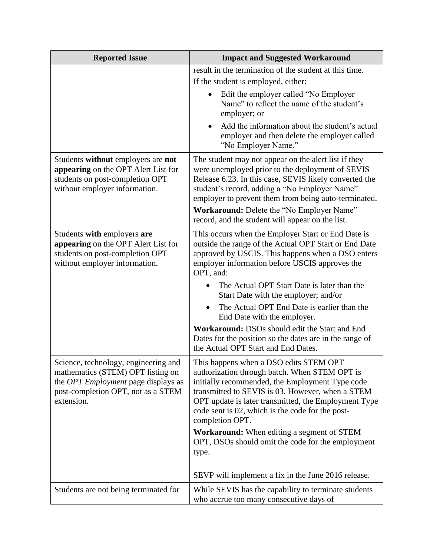| <b>Reported Issue</b>                                                                                                                                                       | <b>Impact and Suggested Workaround</b>                                                                                                                                                                                                                                                                                        |
|-----------------------------------------------------------------------------------------------------------------------------------------------------------------------------|-------------------------------------------------------------------------------------------------------------------------------------------------------------------------------------------------------------------------------------------------------------------------------------------------------------------------------|
|                                                                                                                                                                             | result in the termination of the student at this time.                                                                                                                                                                                                                                                                        |
|                                                                                                                                                                             | If the student is employed, either:                                                                                                                                                                                                                                                                                           |
|                                                                                                                                                                             | Edit the employer called "No Employer<br>Name" to reflect the name of the student's<br>employer; or                                                                                                                                                                                                                           |
|                                                                                                                                                                             | Add the information about the student's actual<br>employer and then delete the employer called<br>"No Employer Name."                                                                                                                                                                                                         |
| Students without employers are not<br>appearing on the OPT Alert List for<br>students on post-completion OPT<br>without employer information.                               | The student may not appear on the alert list if they<br>were unemployed prior to the deployment of SEVIS<br>Release 6.23. In this case, SEVIS likely converted the<br>student's record, adding a "No Employer Name"<br>employer to prevent them from being auto-terminated.                                                   |
|                                                                                                                                                                             | Workaround: Delete the "No Employer Name"<br>record, and the student will appear on the list.                                                                                                                                                                                                                                 |
| Students with employers are<br>appearing on the OPT Alert List for<br>students on post-completion OPT<br>without employer information.                                      | This occurs when the Employer Start or End Date is<br>outside the range of the Actual OPT Start or End Date<br>approved by USCIS. This happens when a DSO enters<br>employer information before USCIS approves the<br>OPT, and:                                                                                               |
|                                                                                                                                                                             | The Actual OPT Start Date is later than the<br>Start Date with the employer; and/or                                                                                                                                                                                                                                           |
|                                                                                                                                                                             | The Actual OPT End Date is earlier than the<br>End Date with the employer.                                                                                                                                                                                                                                                    |
|                                                                                                                                                                             | Workaround: DSOs should edit the Start and End<br>Dates for the position so the dates are in the range of<br>the Actual OPT Start and End Dates.                                                                                                                                                                              |
| Science, technology, engineering and<br>mathematics (STEM) OPT listing on<br>the <i>OPT</i> Employment page displays as<br>post-completion OPT, not as a STEM<br>extension. | This happens when a DSO edits STEM OPT<br>authorization through batch. When STEM OPT is<br>initially recommended, the Employment Type code<br>transmitted to SEVIS is 03. However, when a STEM<br>OPT update is later transmitted, the Employment Type<br>code sent is 02, which is the code for the post-<br>completion OPT. |
|                                                                                                                                                                             | <b>Workaround:</b> When editing a segment of STEM<br>OPT, DSOs should omit the code for the employment<br>type.                                                                                                                                                                                                               |
|                                                                                                                                                                             | SEVP will implement a fix in the June 2016 release.                                                                                                                                                                                                                                                                           |
| Students are not being terminated for                                                                                                                                       | While SEVIS has the capability to terminate students<br>who accrue too many consecutive days of                                                                                                                                                                                                                               |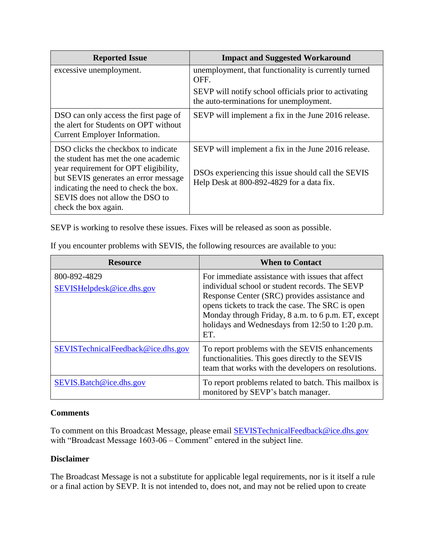| <b>Reported Issue</b>                                                                                                                                                                                                                                            | <b>Impact and Suggested Workaround</b>                                                                                                                 |
|------------------------------------------------------------------------------------------------------------------------------------------------------------------------------------------------------------------------------------------------------------------|--------------------------------------------------------------------------------------------------------------------------------------------------------|
| excessive unemployment.                                                                                                                                                                                                                                          | unemployment, that functionality is currently turned<br>OFF.                                                                                           |
|                                                                                                                                                                                                                                                                  | SEVP will notify school officials prior to activating<br>the auto-terminations for unemployment.                                                       |
| DSO can only access the first page of<br>the alert for Students on OPT without<br>Current Employer Information.                                                                                                                                                  | SEVP will implement a fix in the June 2016 release.                                                                                                    |
| DSO clicks the checkbox to indicate<br>the student has met the one academic<br>year requirement for OPT eligibility,<br>but SEVIS generates an error message<br>indicating the need to check the box.<br>SEVIS does not allow the DSO to<br>check the box again. | SEVP will implement a fix in the June 2016 release.<br>DSOs experiencing this issue should call the SEVIS<br>Help Desk at 800-892-4829 for a data fix. |

SEVP is working to resolve these issues. Fixes will be released as soon as possible.

| <b>Resource</b>                           | <b>When to Contact</b>                                                                                                                                                                                                                                                                                                  |
|-------------------------------------------|-------------------------------------------------------------------------------------------------------------------------------------------------------------------------------------------------------------------------------------------------------------------------------------------------------------------------|
| 800-892-4829<br>SEVISHelpdesk@ice.dhs.gov | For immediate assistance with issues that affect<br>individual school or student records. The SEVP<br>Response Center (SRC) provides assistance and<br>opens tickets to track the case. The SRC is open<br>Monday through Friday, 8 a.m. to 6 p.m. ET, except<br>holidays and Wednesdays from 12:50 to 1:20 p.m.<br>ET. |
| SEVISTechnicalFeedback@ice.dhs.gov        | To report problems with the SEVIS enhancements<br>functionalities. This goes directly to the SEVIS<br>team that works with the developers on resolutions.                                                                                                                                                               |
| SEVIS.Batch@ice.dhs.gov                   | To report problems related to batch. This mailbox is<br>monitored by SEVP's batch manager.                                                                                                                                                                                                                              |

If you encounter problems with SEVIS, the following resources are available to you:

## **Comments**

To comment on this Broadcast Message, please email [SEVISTechnicalFeedback@ice.dhs.gov](mailto:SEVISTechnicalFeedback@ice.dhs.gov) with "Broadcast Message 1603-06 – Comment" entered in the subject line.

## **Disclaimer**

The Broadcast Message is not a substitute for applicable legal requirements, nor is it itself a rule or a final action by SEVP. It is not intended to, does not, and may not be relied upon to create